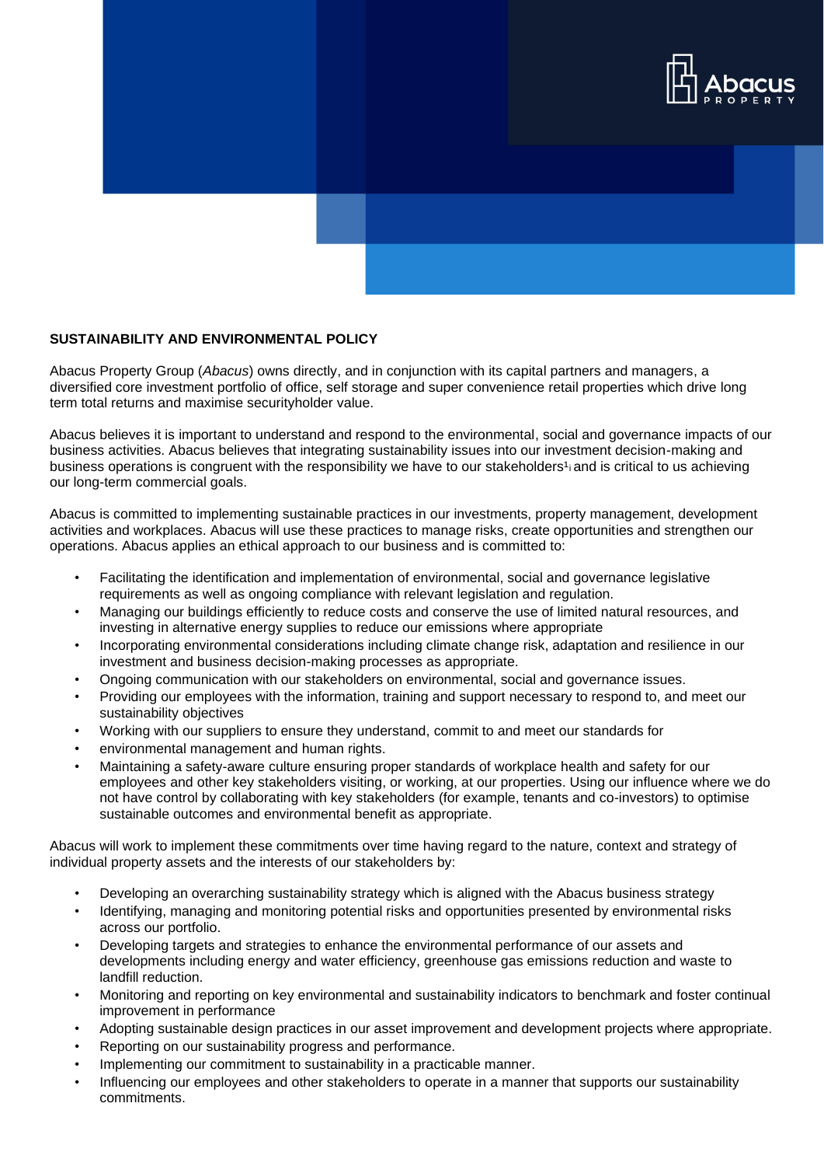

## **SUSTAINABILITY AND ENVIRONMENTAL POLICY**

Abacus Property Group (*Abacus*) owns directly, and in conjunction with its capital partners and managers, a diversified core investment portfolio of office, self storage and super convenience retail properties which drive long term total returns and maximise securityholder value.

Abacus believes it is important to understand and respond to the environmental, social and governance impacts of our business activities. Abacus believes that integrating sustainability issues into our investment decision-making and business operations is congruent with the responsibility we have to our stakeholders<sup>1</sup> and is critical to us achieving our long-term commercial goals.

Abacus is committed to implementing sustainable practices in our investments, property management, development activities and workplaces. Abacus will use these practices to manage risks, create opportunities and strengthen our operations. Abacus applies an ethical approach to our business and is committed to:

- Facilitating the identification and implementation of environmental, social and governance legislative requirements as well as ongoing compliance with relevant legislation and regulation.
- Managing our buildings efficiently to reduce costs and conserve the use of limited natural resources, and investing in alternative energy supplies to reduce our emissions where appropriate
- Incorporating environmental considerations including climate change risk, adaptation and resilience in our investment and business decision-making processes as appropriate.
- Ongoing communication with our stakeholders on environmental, social and governance issues.
- Providing our employees with the information, training and support necessary to respond to, and meet our sustainability objectives
- Working with our suppliers to ensure they understand, commit to and meet our standards for
- environmental management and human rights.
- Maintaining a safety-aware culture ensuring proper standards of workplace health and safety for our employees and other key stakeholders visiting, or working, at our properties. Using our influence where we do not have control by collaborating with key stakeholders (for example, tenants and co-investors) to optimise sustainable outcomes and environmental benefit as appropriate.

Abacus will work to implement these commitments over time having regard to the nature, context and strategy of individual property assets and the interests of our stakeholders by:

- Developing an overarching sustainability strategy which is aligned with the Abacus business strategy
- Identifying, managing and monitoring potential risks and opportunities presented by environmental risks across our portfolio.
- Developing targets and strategies to enhance the environmental performance of our assets and developments including energy and water efficiency, greenhouse gas emissions reduction and waste to landfill reduction.
- Monitoring and reporting on key environmental and sustainability indicators to benchmark and foster continual improvement in performance
- Adopting sustainable design practices in our asset improvement and development projects where appropriate.
- Reporting on our sustainability progress and performance.
- Implementing our commitment to sustainability in a practicable manner.
- Influencing our employees and other stakeholders to operate in a manner that supports our sustainability commitments.